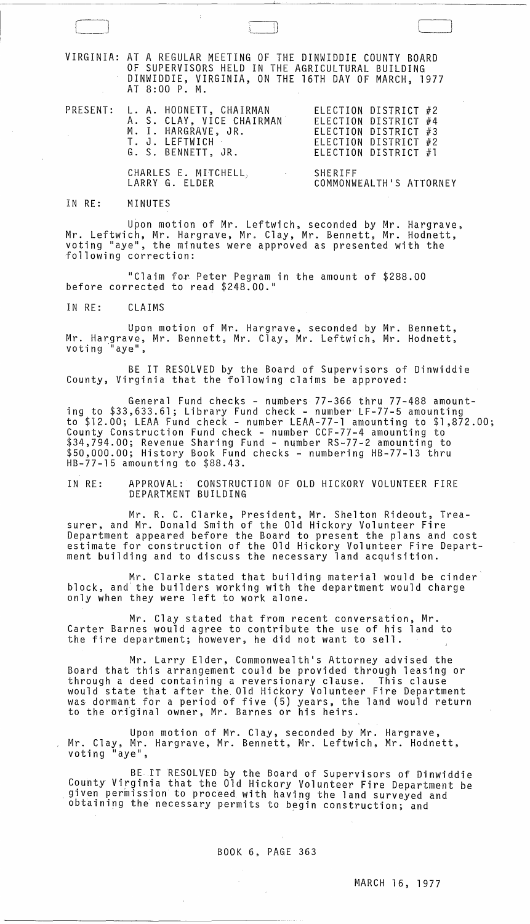VIRGINIA: AT A REGULAR MEETING OF THE DINWIDDIE COUNTY BOARD OF SUPERVISORS HELD IN THE AGRICULTURAL BUILDING DINWIDDIE, VIRGINIA, ON THE 16TH DAY OF MARCH, 1977 AT 8:00 P. M.

L\_JIJ

|  | PRESENT: L. A. HODNETT, CHAIRMAN<br>A. S. CLAY, VICE CHAIRMAN<br>M. I. HARGRAVE, JR.<br>T. J. LEFTWICH<br>G. S. BENNETT, JR. | ELECTION DISTRICT #2<br>ELECTION DISTRICT #4<br>ELECTION DISTRICT #3<br>ELECTION DISTRICT #2<br>ELECTION DISTRICT #1 |
|--|------------------------------------------------------------------------------------------------------------------------------|----------------------------------------------------------------------------------------------------------------------|
|  | CHARLES E. MITCHELL, SHERIFF<br>LARRY G. ELDER                                                                               | COMMONWEALTH'S ATTORNEY                                                                                              |

## IN RE: MINUTES

Upon motion of Mr. Leftwich, seconded by Mr. Hargrave, Mr. Leftwich, Mr. Hargrave, Mr. Clay, Mr. Bennett, Mr. Hodnett, voting "aye", the minutes were approved as presented with the following correction:

"Claim for Peter Pegram in the amount of \$288.00 before corrected to read \$248.00."

IN RE: CLAIMS

Upon motion of Mr. Hargrave, seconded by Mr. Bennett, Mr. Hargrave, Mr. Bennett, Mr. Clay, Mr. Leftwich, Mr. Hodnett, voting '"aye",

BE IT RESOLVED by the Board of Supervisors of Dinwiddie County, Virginia that the following claims be approved:

General Fund checks - numbers 77-366 thru 77-488 amounting to \$33,633.61; Library Fund check - number' LF-77-5 amounting to \$12.00; LEAA Fund check - number LEAA-77-l amounting to \$1,872.00; County Construction Fund check - number CCF-77-4 amounting to \$34,794.00; Revenue Sharing Fund - number RS-77-2 amounting to \$50,000.00; History Book Fund checks - numbering HB-77-13 thru HB-77-15 amounting to \$88.43.

IN RE: APPROVAL: CONSTRUCTION OF OLD HICKORY VOLUNTEER FIRE DEPARTMENT BUILDING

Mr. R. C. Clarke, President, Mr. Shelton Rideout, Treasurer, and Mr. Donald Smith of the Old Hickory Volunteer Fire Department appeared before the Board to present the plans and cost estimate for construction of the Old Hickory Volunteer Fire Department building and to discuss the necessary land acquisition.

Mr. Clarke stated that building material would be cinder block, and'the builders working with the department would charge only when they were left to work alone.

Mr. Clay stated that from recent conversation, Mr. Carter Barnes would agree to contribute the use of his land to the fire department; however, he did not want to sell.

Mr. Larry Elder, Commonwealth's Attorney advised the Board that this arrangement could be provided through leasing or through a deed containing a reversionary clause. This clause would state that after the Old Hickory Volunteer Fire Department was dormant for a period of five (5) years, the land would return to the original owner, Mr. Barnes or his heirs.

Upon motion of Mr. Clay, seconded by Mr. Hargrave, Mr. Clay, Mr. Hargrave, Mr. Bennett, Mr. Leftwich, Mr. Hodnett, voting "aye",

BE IT RESOLVED by the Board of Supervisors of Dinwiddie County Virginia that the Old Hickory Volunteer Fire Department be . given permission to proceed with having the land surveyed and obtaining the necessary permits to begin construction; and

## BOOK 6, PAGE 363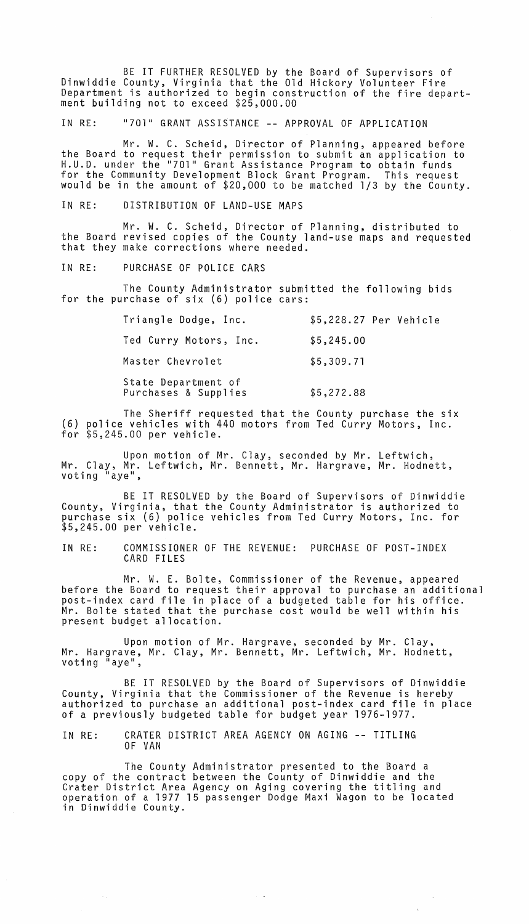BE IT FURTHER RESOLVED by the Board of Supervisors of Dinwiddie County, Virginia that the Old Hickory Volunteer Fire Department is authorized to begin construction of the fire department building not to exceed \$25,000.00

IN RE: "701" GRANT ASSISTANCE -- APPROVAL OF APPLICATION

Mr. W. C. Scheid, Director of Planning, appeared before the Board to request their permission to submit an application to H.U.D. under the "701" Grant Assistance Program to obtain funds for the Community Development Block Grant Program. This request would be in the amount of \$20,000 to be matched 1/3 by the County.

IN RE: DISTRIBUTION OF LAND-USE MAPS

Mr. W. C. Scheid, Director of Planning, distributed to the Board revised copies of the County land-use maps and requested<br>that they make corrections where needed.

IN RE: PURCHASE OF POLICE CARS

The County Administrator submitted the following bids for the purchase of six (6) police cars:

| Triangle Dodge, Inc.                        | \$5,228.27 Per Vehicle |
|---------------------------------------------|------------------------|
| Ted Curry Motors, Inc.                      | \$5,245.00             |
| Master Chevrolet                            | \$5,309.71             |
| State Department of<br>Purchases & Supplies | \$5,272.88             |

The Sheriff requested that the County purchase the six (6) police vehicles with 440 motors from Ted Curry Motors, Inc. for \$5,245.00 per vehicle.

Upon motion of Mr. Clay, seconded by Mr. Leftwich, Mr. Clay, Mr. Leftwich, Mr. Bennett, Mr. Hargrave, Mr. Hodnett, voting "aye",

BE IT RESOLVED by the Board of Supervisors of Dinwiddie County, Virginia, that the County Administrator is authorized to purchase six (6) police vehicles from Ted Curry Motors, Inc. for \$5,245.00 per vehicle.

IN RE: COMMISSIONER OF THE REVENUE: PURCHASE OF POST-INDEX CARD FILES

Mr. W. E. Bolte, Commissioner of the Revenue, appeared before the Board to request their approval to purchase an additional post-index card file in place of a budgeted table for his office. Mr. Bolte stated that the purchase cost would be well within his present budget allocation.

Upon motion of Mr. Hargrave, seconded by Mr. Clay, Mr. Hargrave, Mr. Clay, Mr. Bennett, Mr. Leftwich, Mr. Hodnett, voting "aye",

BE IT RESOLVED by the Board of Supervisors of Dinwiddie County, Virginia that the Commissioner of the Revenue is hereby authorized to purchase an additional post-index card file in place of a previously budgeted table for budget year 1976-1977.

IN RE: CRATER DISTRICT AREA AGENCY ON AGING -- TITLING OF VAN

The County Administrator presented to the Board a copy of the contract between the County of Dinwiddie and the Crater District Area Agency on Aging covering the titling and operation of a 1977 15 passenger Dodge Maxi Wagon to be located in Dinwiddie County.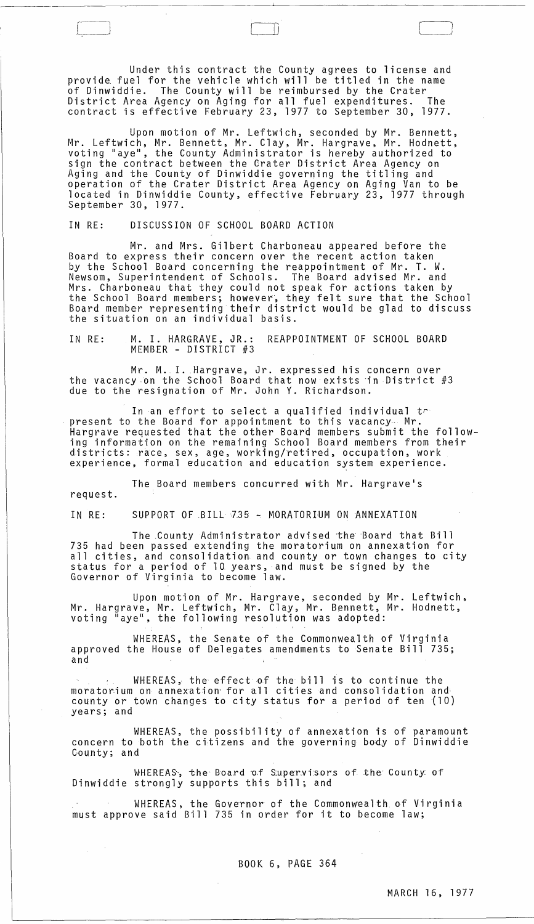Under this contract the County agrees to license and provide fuel for the vehicle which will be titled in the name of Dinwiddie. The County will be reimbursed by the Crater District Area Agency on Aging for all fuel expenditures. The contract is effective February 23, 1977 to September 30, 1977.

f\_ [ J

Upon motion of Mr. Leftwich, seconded by Mr. Bennett, Mr. Leftwich, Mr. Bennett, Mr. Clay, Mr. Hargrave, Mr. Hodnett, voting "aye", the County Administrator is hereby authorized to sign the contract between the Grater District Area Agency on Aging and the County of Dinwiddie governing the titling and operation of the Crater District Area Agency on Aging Van to be located in Dinwiddie County, effective February 23, 1977 through September 30, 1977.

IN RE: DISCUSSION OF SCHOOL BOARD ACTION

Mr. and Mrs. Gilbert Charboneau appeared before the Board to express their concern over the recent action taken by the School Board concerning the reappointment of Mr. T. W. Newsom, Superintendent of Schools. The Board advised Mr. and Mrs. Charboneau that they could not speak for actions taken by the School Board members; however, they felt sure that the School Board member representing their district would be glad to discuss the situation on an individual basis.

IN RE: M. I. HARGRAVE, JR.: REAPPOINTMENT OF SCHOOL BOARD MEMBER - DISTRICT #3

Mr. M. I. Hargrave, Jr. expressed his concern over the vacancy on the School Board that now exists in District  $#3$ due to the resignation of Mr. John Y. Richardson.

In an effort to select a qualified individual  $t_{\uparrow}$ present to the Board for appointment to this vacancy<sub>*.</sub>..* Mr.</sub> Hargrave requested that the other Board members submit the following information on the remaining School Board members from their districts: race, sex, age, working/retired, occupation, work experience, formal education and education system experience.

The Board members concurred with Mr. Hargrave's

request.

 $\mathcal{A}_{\mathcal{A}}$  ,  $\mathcal{A}_{\mathcal{A}}$ 

IN RE: SUPPORT OF BILL 735 - MORATORIUM ON ANNEXATION

The County Administrator advised the Board that Bill 735 had been passed extending the moratorium on annexation for all cities, and consolidation and county or town changes to city status for a period of 10 years, and must be signed by the Governor of Virginia to become law.

Upon motion of Mr. Hargrave, seconded by Mr. Leftwich, Mr. Hargrave, Mr. Leftwich, Mr. Clay, Mr. Bennett, Mr. Hodnett, voting "aye", the following resolution was adopted:

WHEREAS, the Senate of the Commonwealth of Virginia approved the House of Delegates amendments to Senate Bill 735; and

WHEREAS, the effect of the bill is to continue the moratorium on annexation for all cities and consolidation and county or town changes to city status for a period of ten (10) years; and

WHEREAS, the possibility of annexation is of paramount concern to both the citizens and the governing body of Dinwiddie County; and

WHEREAS, the Board of Supervisors of the County of Dinwiddie strongly supports this bill; and

WHEREAS, the Governor of the Commonwealth of Virginia must approve said Bill 735 in order for it to become law;

BOOK 6, PAGE 364

 $\sim$